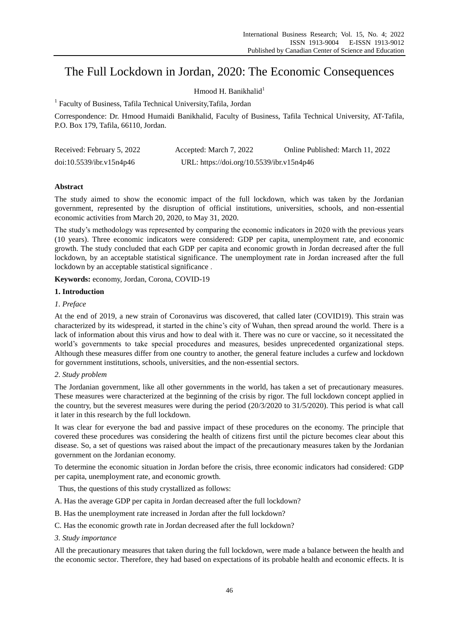# The Full Lockdown in Jordan, 2020: The Economic Consequences

Hmood H. Banikhalid $^1$ 

<sup>1</sup> Faculty of Business, Tafila Technical University, Tafila, Jordan

Correspondence: Dr. Hmood Humaidi Banikhalid, Faculty of Business, Tafila Technical University, AT-Tafila, P.O. Box 179, Tafila, 66110, Jordan.

| Received: February 5, 2022 | Accepted: March 7, 2022                   | Online Published: March 11, 2022 |
|----------------------------|-------------------------------------------|----------------------------------|
| doi:10.5539/ibr.v15n4p46   | URL: https://doi.org/10.5539/ibr.v15n4p46 |                                  |

# **Abstract**

The study aimed to show the economic impact of the full lockdown, which was taken by the Jordanian government, represented by the disruption of official institutions, universities, schools, and non-essential economic activities from March 20, 2020, to May 31, 2020.

The study"s methodology was represented by comparing the economic indicators in 2020 with the previous years (10 years). Three economic indicators were considered: GDP per capita, unemployment rate, and economic growth. The study concluded that each GDP per capita and economic growth in Jordan decreased after the full lockdown, by an acceptable statistical significance. The unemployment rate in Jordan increased after the full lockdown by an acceptable statistical significance .

**Keywords:** economy, Jordan, Corona, COVID-19

### **1. Introduction**

### *1. Preface*

At the end of 2019, a new strain of Coronavirus was discovered, that called later (COVID19). This strain was characterized by its widespread, it started in the chine"s city of Wuhan, then spread around the world. There is a lack of information about this virus and how to deal with it. There was no cure or vaccine, so it necessitated the world"s governments to take special procedures and measures, besides unprecedented organizational steps. Although these measures differ from one country to another, the general feature includes a curfew and lockdown for government institutions, schools, universities, and the non-essential sectors.

### *2. Study problem*

The Jordanian government, like all other governments in the world, has taken a set of precautionary measures. These measures were characterized at the beginning of the crisis by rigor. The full lockdown concept applied in the country, but the severest measures were during the period (20/3/2020 to 31/5/2020). This period is what call it later in this research by the full lockdown.

It was clear for everyone the bad and passive impact of these procedures on the economy. The principle that covered these procedures was considering the health of citizens first until the picture becomes clear about this disease. So, a set of questions was raised about the impact of the precautionary measures taken by the Jordanian government on the Jordanian economy.

To determine the economic situation in Jordan before the crisis, three economic indicators had considered: GDP per capita, unemployment rate, and economic growth.

Thus, the questions of this study crystallized as follows:

- A. Has the average GDP per capita in Jordan decreased after the full lockdown?
- B. Has the unemployment rate increased in Jordan after the full lockdown?
- C. Has the economic growth rate in Jordan decreased after the full lockdown?
- *3. Study importance*

All the precautionary measures that taken during the full lockdown, were made a balance between the health and the economic sector. Therefore, they had based on expectations of its probable health and economic effects. It is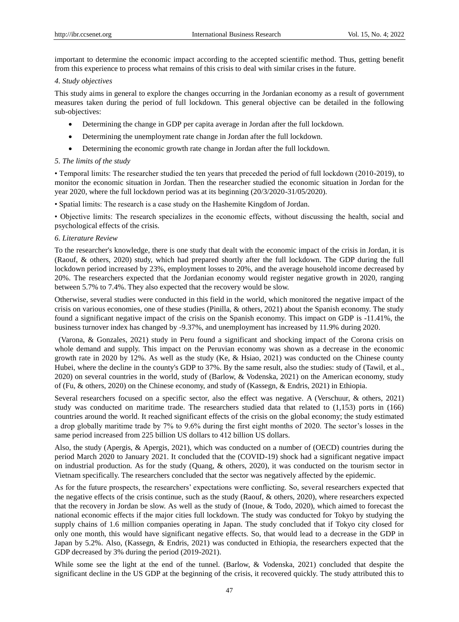important to determine the economic impact according to the accepted scientific method. Thus, getting benefit from this experience to process what remains of this crisis to deal with similar crises in the future.

#### *4. Study objectives*

This study aims in general to explore the changes occurring in the Jordanian economy as a result of government measures taken during the period of full lockdown. This general objective can be detailed in the following sub-objectives:

- Determining the change in GDP per capita average in Jordan after the full lockdown.
- Determining the unemployment rate change in Jordan after the full lockdown.
- Determining the economic growth rate change in Jordan after the full lockdown.

### *5. The limits of the study*

• Temporal limits: The researcher studied the ten years that preceded the period of full lockdown (2010-2019), to monitor the economic situation in Jordan. Then the researcher studied the economic situation in Jordan for the year 2020, where the full lockdown period was at its beginning (20/3/2020-31/05/2020).

• Spatial limits: The research is a case study on the Hashemite Kingdom of Jordan.

• Objective limits: The research specializes in the economic effects, without discussing the health, social and psychological effects of the crisis.

### *6. Literature Review*

To the researcher's knowledge, there is one study that dealt with the economic impact of the crisis in Jordan, it is (Raouf, & others, 2020) study, which had prepared shortly after the full lockdown. The GDP during the full lockdown period increased by 23%, employment losses to 20%, and the average household income decreased by 20%. The researchers expected that the Jordanian economy would register negative growth in 2020, ranging between 5.7% to 7.4%. They also expected that the recovery would be slow.

Otherwise, several studies were conducted in this field in the world, which monitored the negative impact of the crisis on various economies, one of these studies (Pinilla, & others, 2021) about the Spanish economy. The study found a significant negative impact of the crisis on the Spanish economy. This impact on GDP is -11.41%, the business turnover index has changed by -9.37%, and unemployment has increased by 11.9% during 2020.

(Varona, & Gonzales, 2021) study in Peru found a significant and shocking impact of the Corona crisis on whole demand and supply. This impact on the Peruvian economy was shown as a decrease in the economic growth rate in 2020 by 12%. As well as the study (Ke, & Hsiao, 2021) was conducted on the Chinese county Hubei, where the decline in the county's GDP to 37%. By the same result, also the studies: study of (Tawil, et al., 2020) on several countries in the world, study of (Barlow, & Vodenska, 2021) on the American economy, study of (Fu, & others, 2020) on the Chinese economy, and study of (Kassegn, & Endris, 2021) in Ethiopia.

Several researchers focused on a specific sector, also the effect was negative. A (Verschuur, & others, 2021) study was conducted on maritime trade. The researchers studied data that related to (1,153) ports in (166) countries around the world. It reached significant effects of the crisis on the global economy; the study estimated a drop globally maritime trade by 7% to 9.6% during the first eight months of 2020. The sector"s losses in the same period increased from 225 billion US dollars to 412 billion US dollars.

Also, the study (Apergis, & Apergis, 2021), which was conducted on a number of (OECD) countries during the period March 2020 to January 2021. It concluded that the (COVID-19) shock had a significant negative impact on industrial production. As for the study (Quang, & others, 2020), it was conducted on the tourism sector in Vietnam specifically. The researchers concluded that the sector was negatively affected by the epidemic.

As for the future prospects, the researchers" expectations were conflicting. So, several researchers expected that the negative effects of the crisis continue, such as the study (Raouf, & others, 2020), where researchers expected that the recovery in Jordan be slow. As well as the study of (Inoue, & Todo, 2020), which aimed to forecast the national economic effects if the major cities full lockdown. The study was conducted for Tokyo by studying the supply chains of 1.6 million companies operating in Japan. The study concluded that if Tokyo city closed for only one month, this would have significant negative effects. So, that would lead to a decrease in the GDP in Japan by 5.2%. Also, (Kassegn, & Endris, 2021) was conducted in Ethiopia, the researchers expected that the GDP decreased by 3% during the period (2019-2021).

While some see the light at the end of the tunnel. (Barlow, & Vodenska, 2021) concluded that despite the significant decline in the US GDP at the beginning of the crisis, it recovered quickly. The study attributed this to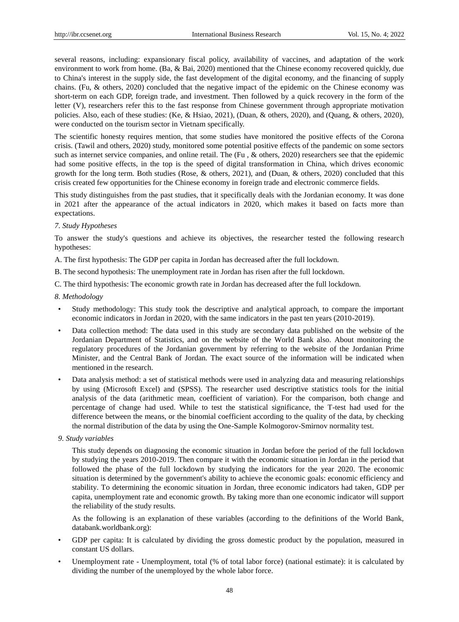several reasons, including: expansionary fiscal policy, availability of vaccines, and adaptation of the work environment to work from home. (Ba, & Bai, 2020) mentioned that the Chinese economy recovered quickly, due to China's interest in the supply side, the fast development of the digital economy, and the financing of supply chains. (Fu, & others, 2020) concluded that the negative impact of the epidemic on the Chinese economy was short-term on each GDP, foreign trade, and investment. Then followed by a quick recovery in the form of the letter (V), researchers refer this to the fast response from Chinese government through appropriate motivation policies. Also, each of these studies: (Ke, & Hsiao, 2021), (Duan, & others, 2020), and (Quang, & others, 2020), were conducted on the tourism sector in Vietnam specifically.

The scientific honesty requires mention, that some studies have monitored the positive effects of the Corona crisis. (Tawil and others, 2020) study, monitored some potential positive effects of the pandemic on some sectors such as internet service companies, and online retail. The (Fu, & others, 2020) researchers see that the epidemic had some positive effects, in the top is the speed of digital transformation in China, which drives economic growth for the long term. Both studies (Rose, & others, 2021), and (Duan, & others, 2020) concluded that this crisis created few opportunities for the Chinese economy in foreign trade and electronic commerce fields.

This study distinguishes from the past studies, that it specifically deals with the Jordanian economy. It was done in 2021 after the appearance of the actual indicators in 2020, which makes it based on facts more than expectations.

### *7. Study Hypotheses*

To answer the study's questions and achieve its objectives, the researcher tested the following research hypotheses:

A. The first hypothesis: The GDP per capita in Jordan has decreased after the full lockdown.

B. The second hypothesis: The unemployment rate in Jordan has risen after the full lockdown.

C. The third hypothesis: The economic growth rate in Jordan has decreased after the full lockdown.

### *8. Methodology*

- Study methodology: This study took the descriptive and analytical approach, to compare the important economic indicators in Jordan in 2020, with the same indicators in the past ten years (2010-2019).
- Data collection method: The data used in this study are secondary data published on the website of the Jordanian Department of Statistics, and on the website of the World Bank also. About monitoring the regulatory procedures of the Jordanian government by referring to the website of the Jordanian Prime Minister, and the Central Bank of Jordan. The exact source of the information will be indicated when mentioned in the research.
- Data analysis method: a set of statistical methods were used in analyzing data and measuring relationships by using (Microsoft Excel) and (SPSS). The researcher used descriptive statistics tools for the initial analysis of the data (arithmetic mean, coefficient of variation). For the comparison, both change and percentage of change had used. While to test the statistical significance, the T-test had used for the difference between the means, or the binomial coefficient according to the quality of the data, by checking the normal distribution of the data by using the One-Sample Kolmogorov-Smirnov normality test.
- *9. Study variables*

This study depends on diagnosing the economic situation in Jordan before the period of the full lockdown by studying the years 2010-2019. Then compare it with the economic situation in Jordan in the period that followed the phase of the full lockdown by studying the indicators for the year 2020. The economic situation is determined by the government's ability to achieve the economic goals: economic efficiency and stability. To determining the economic situation in Jordan, three economic indicators had taken, GDP per capita, unemployment rate and economic growth. By taking more than one economic indicator will support the reliability of the study results.

As the following is an explanation of these variables (according to the definitions of the World Bank, databank.worldbank.org):

- GDP per capita: It is calculated by dividing the gross domestic product by the population, measured in constant US dollars.
- Unemployment rate Unemployment, total (% of total labor force) (national estimate): it is calculated by dividing the number of the unemployed by the whole labor force.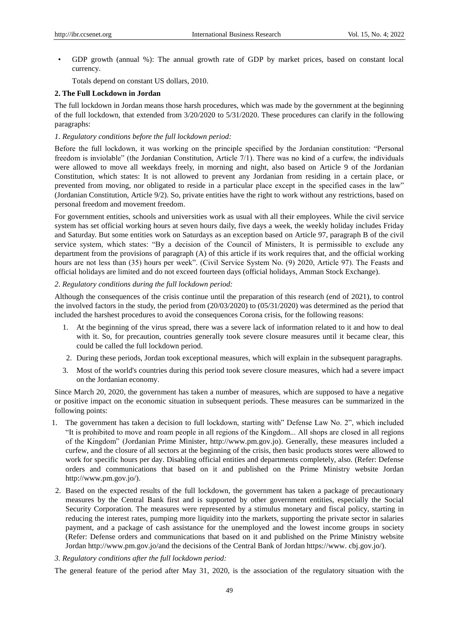• GDP growth (annual %): The annual growth rate of GDP by market prices, based on constant local currency.

Totals depend on constant US dollars, 2010.

### **2. The Full Lockdown in Jordan**

The full lockdown in Jordan means those harsh procedures, which was made by the government at the beginning of the full lockdown, that extended from 3/20/2020 to 5/31/2020. These procedures can clarify in the following paragraphs:

### *1. Regulatory conditions before the full lockdown period:*

Before the full lockdown, it was working on the principle specified by the Jordanian constitution: "Personal freedom is inviolable" (the Jordanian Constitution, Article 7/1). There was no kind of a curfew, the individuals were allowed to move all weekdays freely, in morning and night, also based on Article 9 of the Jordanian Constitution, which states: It is not allowed to prevent any Jordanian from residing in a certain place, or prevented from moving, nor obligated to reside in a particular place except in the specified cases in the law" (Jordanian Constitution, Article 9/2). So, private entities have the right to work without any restrictions, based on personal freedom and movement freedom.

For government entities, schools and universities work as usual with all their employees. While the civil service system has set official working hours at seven hours daily, five days a week, the weekly holiday includes Friday and Saturday. But some entities work on Saturdays as an exception based on Article 97, paragraph B of the civil service system, which states: "By a decision of the Council of Ministers, It is permissible to exclude any department from the provisions of paragraph (A) of this article if its work requires that, and the official working hours are not less than (35) hours per week". (Civil Service System No. (9) 2020, Article 97). The Feasts and official holidays are limited and do not exceed fourteen days (official holidays, Amman Stock Exchange).

### *2. Regulatory conditions during the full lockdown period:*

Although the consequences of the crisis continue until the preparation of this research (end of 2021), to control the involved factors in the study, the period from (20/03/2020) to (05/31/2020) was determined as the period that included the harshest procedures to avoid the consequences Corona crisis, for the following reasons:

- 1. At the beginning of the virus spread, there was a severe lack of information related to it and how to deal with it. So, for precaution, countries generally took severe closure measures until it became clear, this could be called the full lockdown period.
- 2. During these periods, Jordan took exceptional measures, which will explain in the subsequent paragraphs.
- 3. Most of the world's countries during this period took severe closure measures, which had a severe impact on the Jordanian economy.

Since March 20, 2020, the government has taken a number of measures, which are supposed to have a negative or positive impact on the economic situation in subsequent periods. These measures can be summarized in the following points:

- 1. The government has taken a decision to full lockdown, starting with" Defense Law No. 2", which included "It is prohibited to move and roam people in all regions of the Kingdom... All shops are closed in all regions of the Kingdom" (Jordanian Prime Minister, [http://www.pm.gov.jo\)](http://www.pm.gov.jo/). Generally, these measures included a curfew, and the closure of all sectors at the beginning of the crisis, then basic products stores were allowed to work for specific hours per day. Disabling official entities and departments completely, also. (Refer: Defense orders and communications that based on it and published on the Prime Ministry website Jordan [http://www.pm.gov.jo/\)](http://www.pm.gov.jo/).
- 2. Based on the expected results of the full lockdown, the government has taken a package of precautionary measures by the Central Bank first and is supported by other government entities, especially the Social Security Corporation. The measures were represented by a stimulus monetary and fiscal policy, starting in reducing the interest rates, pumping more liquidity into the markets, supporting the private sector in salaries payment, and a package of cash assistance for the unemployed and the lowest income groups in society (Refer: Defense orders and communications that based on it and published on the Prime Ministry website Jordan [http://www.pm.gov.jo/a](http://www.pm.gov.jo/)nd the decisions of the Central Bank of Jordan https://www. cbj.gov.jo/).
- *3. Regulatory conditions after the full lockdown period:*

The general feature of the period after May 31, 2020, is the association of the regulatory situation with the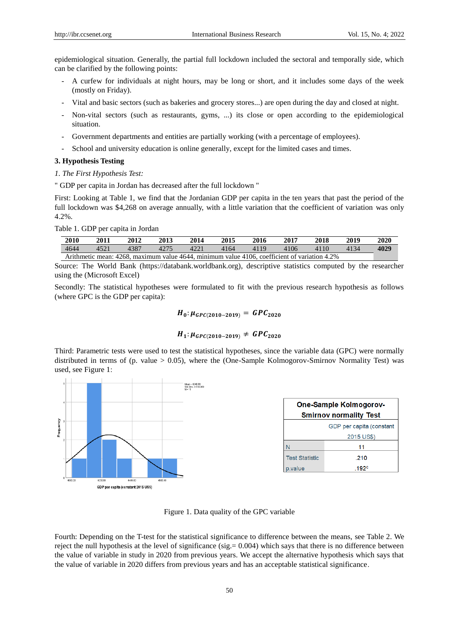epidemiological situation. Generally, the partial full lockdown included the sectoral and temporally side, which can be clarified by the following points:

- A curfew for individuals at night hours, may be long or short, and it includes some days of the week (mostly on Friday).
- Vital and basic sectors (such as bakeries and grocery stores...) are open during the day and closed at night.
- Non-vital sectors (such as restaurants, gyms, ...) its close or open according to the epidemiological situation.
- Government departments and entities are partially working (with a percentage of employees).
- School and university education is online generally, except for the limited cases and times.

### **3. Hypothesis Testing**

*1. The First Hypothesis Test:*

" GDP per capita in Jordan has decreased after the full lockdown "

First: Looking at Table 1, we find that the Jordanian GDP per capita in the ten years that past the period of the full lockdown was \$4,268 on average annually, with a little variation that the coefficient of variation was only 4.2%.

Table 1. GDP per capita in Jordan

| 2010 | 2011 | 2012 | 2013 | 2014                                                                                         | 2015 | 2016 | 2017 | 2018 | 2019 | 2020 |
|------|------|------|------|----------------------------------------------------------------------------------------------|------|------|------|------|------|------|
| 4644 | 4521 | 4387 |      | 4221                                                                                         | 4164 | 4119 | 4106 | 4110 | 4134 | 4029 |
|      |      |      |      | Arithmetic mean: 4268, maximum value 4644, minimum value 4106, coefficient of variation 4.2% |      |      |      |      |      |      |

Source: The World Bank (https://databank.worldbank.org), descriptive statistics computed by the researcher using the (Microsoft Excel)

Secondly: The statistical hypotheses were formulated to fit with the previous research hypothesis as follows (where GPC is the GDP per capita):

# $H_0: \mu_{GPC(2010-2019)} = GPC_{2020}$

# $H_1: \mu_{GPC(2010-2019)} \neq GPC_{2020}$

Third: Parametric tests were used to test the statistical hypotheses, since the variable data (GPC) were normally distributed in terms of (p. value > 0.05), where the (One-Sample Kolmogorov-Smirnov Normality Test) was used, see Figure 1:



Figure 1. Data quality of the GPC variable

Fourth: Depending on the T-test for the statistical significance to difference between the means, see Table 2. We reject the null hypothesis at the level of significance (sig. = 0.004) which says that there is no difference between the value of variable in study in 2020 from previous years. We accept the alternative hypothesis which says that the value of variable in 2020 differs from previous years and has an acceptable statistical significance.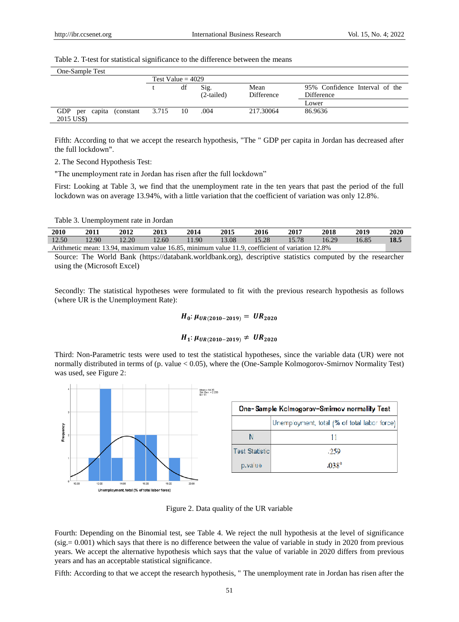### Table 2. T-test for statistical significance to the difference between the means

| One-Sample Test                                     |                     |    |                      |                    |                                              |
|-----------------------------------------------------|---------------------|----|----------------------|--------------------|----------------------------------------------|
|                                                     | Test Value = $4029$ |    |                      |                    |                                              |
|                                                     |                     | df | Sig.<br>$(2-tailed)$ | Mean<br>Difference | 95% Confidence Interval of the<br>Difference |
|                                                     |                     |    |                      |                    | Lower                                        |
| <b>GDP</b><br>capita (constant<br>per<br>2015 US\$) | 3.715               | 10 | .004                 | 217.30064          | 86.9636                                      |

Fifth: According to that we accept the research hypothesis, "The " GDP per capita in Jordan has decreased after the full lockdown".

2. The Second Hypothesis Test:

"The unemployment rate in Jordan has risen after the full lockdown"

First: Looking at Table 3, we find that the unemployment rate in the ten years that past the period of the full lockdown was on average 13.94%, with a little variation that the coefficient of variation was only 12.8%.

Table 3. Unemployment rate in Jordan

| <b>2010</b> | 2011                                                                                            | 2012  | 2013  | 2014  | 2015  | 2016  | 2017  | 2018  | 2019  | 2020 |
|-------------|-------------------------------------------------------------------------------------------------|-------|-------|-------|-------|-------|-------|-------|-------|------|
| 12.50       | 12.90                                                                                           | 12.20 | 12.60 | 11.90 | 13.08 | 15.28 | 15.78 | 16.29 | 16.85 | 18.5 |
|             | Arithmetic mean: 13.94, maximum value 16.85, minimum value 11.9, coefficient of variation 12.8% |       |       |       |       |       |       |       |       |      |

Source: The World Bank (https://databank.worldbank.org), descriptive statistics computed by the researcher using the (Microsoft Excel)

Secondly: The statistical hypotheses were formulated to fit with the previous research hypothesis as follows (where UR is the Unemployment Rate):

# $H_0: \mu_{UR(2010-2019)} = UR_{2020}$

# $H_1: \mu_{UR(2010-2019)} \neq UR_{2020}$

Third: Non-Parametric tests were used to test the statistical hypotheses, since the variable data (UR) were not normally distributed in terms of (p. value < 0.05), where the (One-Sample Kolmogorov-Smirnov Normality Test) was used, see Figure 2:



Figure 2. Data quality of the UR variable

Fourth: Depending on the Binomial test, see Table 4. We reject the null hypothesis at the level of significance  $(sig = 0.001)$  which says that there is no difference between the value of variable in study in 2020 from previous years. We accept the alternative hypothesis which says that the value of variable in 2020 differs from previous years and has an acceptable statistical significance.

Fifth: According to that we accept the research hypothesis, " The unemployment rate in Jordan has risen after the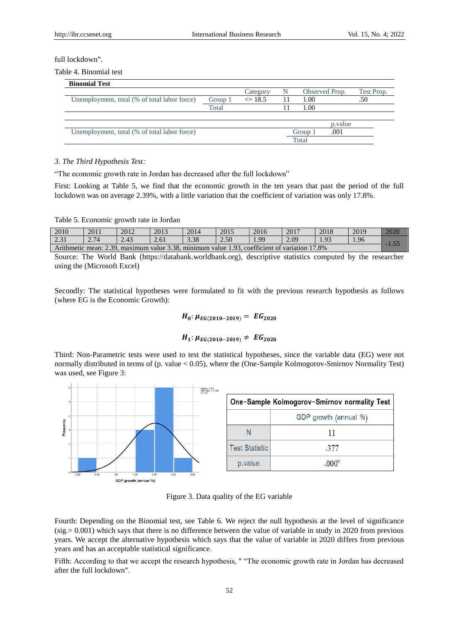### full lockdown".

Table 4. Binomial test

| <b>Binomial Test</b>                         |         |             |     |         |                |            |
|----------------------------------------------|---------|-------------|-----|---------|----------------|------------|
|                                              |         | Category    | N   |         | Observed Prop. | Test Prop. |
| Unemployment, total (% of total labor force) | Group 1 | $\leq 18.5$ | -11 | 1.00    |                | .50        |
|                                              | Total   |             |     | 1.00    |                |            |
|                                              |         |             |     |         |                |            |
|                                              |         |             |     |         | p. value       |            |
| Unemployment, total (% of total labor force) |         |             |     | Group 1 | .001           |            |
|                                              |         |             |     | Total   |                |            |

### *3. The Third Hypothesis Test*:

"The economic growth rate in Jordan has decreased after the full lockdown"

First: Looking at Table 5, we find that the economic growth in the ten years that past the period of the full lockdown was on average 2.39%, with a little variation that the coefficient of variation was only 17.8%.

### Table 5. Economic growth rate in Jordan

| 2010 | 2011 | 2012                                                                                          | 2013 | 2014 | 2015 | 2016 | 2017 | 2018 | 2019 | 2020 |
|------|------|-----------------------------------------------------------------------------------------------|------|------|------|------|------|------|------|------|
| 2.31 | 2.74 | 2.43                                                                                          | 2.61 | 3.38 | 2.50 | 1.99 | 2.09 | 1.93 | 1.96 | E E  |
|      |      | Arithmetic mean: 2.39, maximum value 3.38, minimum value 1.93, coefficient of variation 17.8% |      |      |      |      |      |      |      |      |

Source: The World Bank (https://databank.worldbank.org), descriptive statistics computed by the researcher using the (Microsoft Excel)

Secondly: The statistical hypotheses were formulated to fit with the previous research hypothesis as follows (where EG is the Economic Growth):

# $H_0: \mu_{EG(2010-2019)} = EG_{2020}$

# $H_1: \mu_{EG(2010-2019)} \neq EG_{2020}$

Third: Non-Parametric tests were used to test the statistical hypotheses, since the variable data (EG) were not normally distributed in terms of (p. value < 0.05), where the (One-Sample Kolmogorov-Smirnov Normality Test) was used, see Figure 3:



Figure 3. Data quality of the EG variable

Fourth: Depending on the Binomial test, see Table 6. We reject the null hypothesis at the level of significance (sig.= 0.001) which says that there is no difference between the value of variable in study in 2020 from previous years. We accept the alternative hypothesis which says that the value of variable in 2020 differs from previous years and has an acceptable statistical significance.

Fifth: According to that we accept the research hypothesis, " "The economic growth rate in Jordan has decreased after the full lockdown".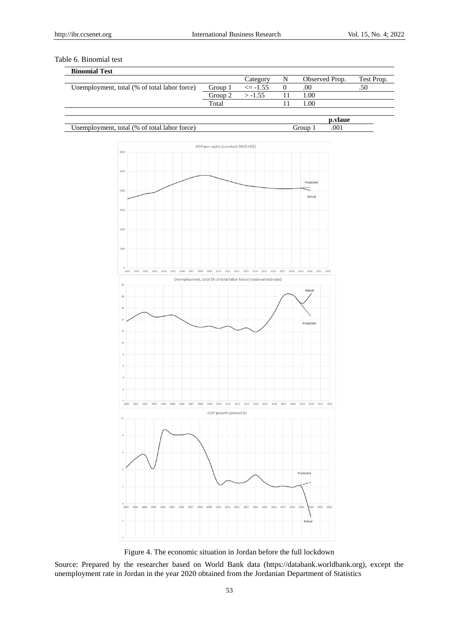# Table 6. Binomial test

| <b>Binomial Test</b>                         |         |             |                |            |
|----------------------------------------------|---------|-------------|----------------|------------|
|                                              |         | Category    | Observed Prop. | Test Prop. |
| Unemployment, total (% of total labor force) | Group 1 | $\le$ -1.55 | .00            | .50        |
|                                              | Group 2 | $> -1.55$   | 1.00           |            |
|                                              | Total   |             | .00            |            |
|                                              |         |             |                |            |

|                                                               |               | .   |
|---------------------------------------------------------------|---------------|-----|
| $ -$<br>(9)<br>total<br>torce<br>ി<br>vmeni<br>Jabor<br>tota. | $\sim$ $   -$ | 001 |



Figure 4. The economic situation in Jordan before the full lockdown

Source: Prepared by the researcher based on World Bank data (https://databank.worldbank.org), except the unemployment rate in Jordan in the year 2020 obtained from the Jordanian Department of Statistics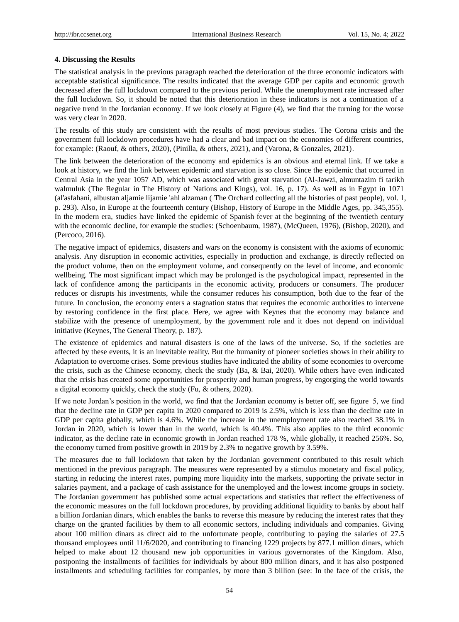### **4. Discussing the Results**

The statistical analysis in the previous paragraph reached the deterioration of the three economic indicators with acceptable statistical significance. The results indicated that the average GDP per capita and economic growth decreased after the full lockdown compared to the previous period. While the unemployment rate increased after the full lockdown. So, it should be noted that this deterioration in these indicators is not a continuation of a negative trend in the Jordanian economy. If we look closely at Figure (4), we find that the turning for the worse was very clear in 2020.

The results of this study are consistent with the results of most previous studies. The Corona crisis and the government full lockdown procedures have had a clear and bad impact on the economies of different countries, for example: (Raouf, & others, 2020), (Pinilla, & others, 2021), and (Varona, & Gonzales, 2021).

The link between the deterioration of the economy and epidemics is an obvious and eternal link. If we take a look at history, we find the link between epidemic and starvation is so close. Since the epidemic that occurred in Central Asia in the year 1057 AD, which was associated with great starvation (Al-Jawzi, almuntazim fi tarikh walmuluk (The Regular in The History of Nations and Kings), vol. 16, p. 17). As well as in Egypt in 1071 (al'asfahani, albustan aljamie lijamie 'ahl alzaman ( The Orchard collecting all the histories of past people), vol. 1, p. 293). Also, in Europe at the fourteenth century (Bishop, History of Europe in the Middle Ages, pp. 345,355). In the modern era, studies have linked the epidemic of Spanish fever at the beginning of the twentieth century with the economic decline, for example the studies: (Schoenbaum, 1987), (McQueen, 1976), (Bishop, 2020), and (Percoco, 2016).

The negative impact of epidemics, disasters and wars on the economy is consistent with the axioms of economic analysis. Any disruption in economic activities, especially in production and exchange, is directly reflected on the product volume, then on the employment volume, and consequently on the level of income, and economic wellbeing. The most significant impact which may be prolonged is the psychological impact, represented in the lack of confidence among the participants in the economic activity, producers or consumers. The producer reduces or disrupts his investments, while the consumer reduces his consumption, both due to the fear of the future. In conclusion, the economy enters a stagnation status that requires the economic authorities to intervene by restoring confidence in the first place. Here, we agree with Keynes that the economy may balance and stabilize with the presence of unemployment, by the government role and it does not depend on individual initiative (Keynes, The General Theory, p. 187).

The existence of epidemics and natural disasters is one of the laws of the universe. So, if the societies are affected by these events, it is an inevitable reality. But the humanity of pioneer societies shows in their ability to Adaptation to overcome crises. Some previous studies have indicated the ability of some economies to overcome the crisis, such as the Chinese economy, check the study (Ba, & Bai, 2020). While others have even indicated that the crisis has created some opportunities for prosperity and human progress, by engorging the world towards a digital economy quickly, check the study (Fu, & others, 2020).

If we note Jordan"s position in the world, we find that the Jordanian economy is better off, see figure 5, we find that the decline rate in GDP per capita in 2020 compared to 2019 is 2.5%, which is less than the decline rate in GDP per capita globally, which is 4.6%. While the increase in the unemployment rate also reached 38.1% in Jordan in 2020, which is lower than in the world, which is 40.4%. This also applies to the third economic indicator, as the decline rate in economic growth in Jordan reached 178 %, while globally, it reached 256%. So, the economy turned from positive growth in 2019 by 2.3% to negative growth by 3.59%.

The measures due to full lockdown that taken by the Jordanian government contributed to this result which mentioned in the previous paragraph. The measures were represented by a stimulus monetary and fiscal policy, starting in reducing the interest rates, pumping more liquidity into the markets, supporting the private sector in salaries payment, and a package of cash assistance for the unemployed and the lowest income groups in society. The Jordanian government has published some actual expectations and statistics that reflect the effectiveness of the economic measures on the full lockdown procedures, by providing additional liquidity to banks by about half a billion Jordanian dinars, which enables the banks to reverse this measure by reducing the interest rates that they charge on the granted facilities by them to all economic sectors, including individuals and companies. Giving about 100 million dinars as direct aid to the unfortunate people, contributing to paying the salaries of 27.5 thousand employees until 11/6/2020, and contributing to financing 1229 projects by 877.1 million dinars, which helped to make about 12 thousand new job opportunities in various governorates of the Kingdom. Also, postponing the installments of facilities for individuals by about 800 million dinars, and it has also postponed installments and scheduling facilities for companies, by more than 3 billion (see: In the face of the crisis, the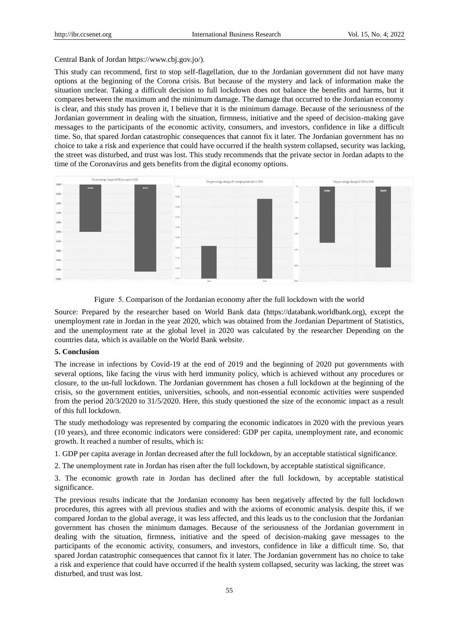Central Bank of Jordan https://www.cbj.gov.jo/).

This study can recommend, first to stop self-flagellation, due to the Jordanian government did not have many options at the beginning of the Corona crisis. But because of the mystery and lack of information make the situation unclear. Taking a difficult decision to full lockdown does not balance the benefits and harms, but it compares between the maximum and the minimum damage. The damage that occurred to the Jordanian economy is clear, and this study has proven it, I believe that it is the minimum damage. Because of the seriousness of the Jordanian government in dealing with the situation, firmness, initiative and the speed of decision-making gave messages to the participants of the economic activity, consumers, and investors, confidence in like a difficult time. So, that spared Jordan catastrophic consequences that cannot fix it later. The Jordanian government has no choice to take a risk and experience that could have occurred if the health system collapsed, security was lacking, the street was disturbed, and trust was lost. This study recommends that the private sector in Jordan adapts to the time of the Coronavirus and gets benefits from the digital economy options.



Figure 5. Comparison of the Jordanian economy after the full lockdown with the world

Source: Prepared by the researcher based on World Bank data (https://databank.worldbank.org), except the unemployment rate in Jordan in the year 2020, which was obtained from the Jordanian Department of Statistics, and the unemployment rate at the global level in 2020 was calculated by the researcher Depending on the countries data, which is available on the World Bank website.

### **5. Conclusion**

The increase in infections by Covid-19 at the end of 2019 and the beginning of 2020 put governments with several options, like facing the virus with herd immunity policy, which is achieved without any procedures or closure, to the un-full lockdown. The Jordanian government has chosen a full lockdown at the beginning of the crisis, so the government entities, universities, schools, and non-essential economic activities were suspended from the period 20/3/2020 to 31/5/2020. Here, this study questioned the size of the economic impact as a result of this full lockdown.

The study methodology was represented by comparing the economic indicators in 2020 with the previous years (10 years), and three economic indicators were considered: GDP per capita, unemployment rate, and economic growth. It reached a number of results, which is:

1. GDP per capita average in Jordan decreased after the full lockdown, by an acceptable statistical significance.

2. The unemployment rate in Jordan has risen after the full lockdown, by acceptable statistical significance.

3. The economic growth rate in Jordan has declined after the full lockdown, by acceptable statistical significance.

The previous results indicate that the Jordanian economy has been negatively affected by the full lockdown procedures, this agrees with all previous studies and with the axioms of economic analysis. despite this, if we compared Jordan to the global average, it was less affected, and this leads us to the conclusion that the Jordanian government has chosen the minimum damages. Because of the seriousness of the Jordanian government in dealing with the situation, firmness, initiative and the speed of decision-making gave messages to the participants of the economic activity, consumers, and investors, confidence in like a difficult time. So, that spared Jordan catastrophic consequences that cannot fix it later. The Jordanian government has no choice to take a risk and experience that could have occurred if the health system collapsed, security was lacking, the street was disturbed, and trust was lost.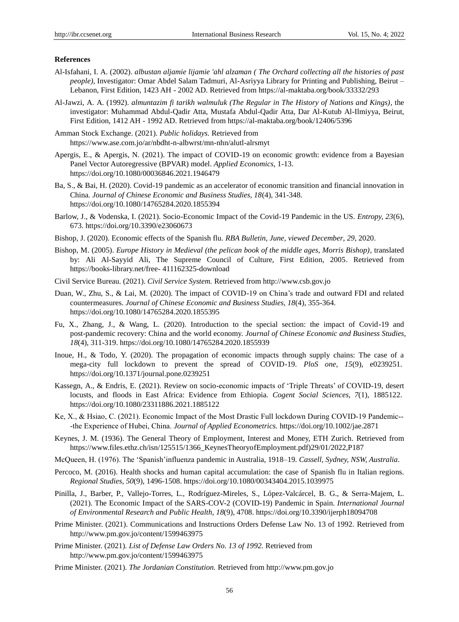### **References**

- Al-Isfahani, I. A. (2002). *albustan aljamie lijamie 'ahl alzaman ( The Orchard collecting all the histories of past people)*, Investigator: Omar Abdel Salam Tadmuri, Al-Asriyya Library for Printing and Publishing, Beirut – Lebanon, First Edition, 1423 AH - 2002 AD. Retrieved from https://al-maktaba.org/book/33332/293
- Al-Jawzi, A. A. (1992). *almuntazim fi tarikh walmuluk (The Regular in The History of Nations and Kings)*, the investigator: Muhammad Abdul-Qadir Atta, Mustafa Abdul-Qadir Atta, Dar Al-Kutub Al-Ilmiyya, Beirut, First Edition, 1412 AH - 1992 AD. Retrieved from https://al-maktaba.org/book/12406/5396
- Amman Stock Exchange. (2021). *Public holidays.* Retrieved from https://www.ase.com.jo/ar/nbdht-n-albwrst/mn-nhn/alutl-alrsmyt
- Apergis, E., & Apergis, N. (2021). The impact of COVID-19 on economic growth: evidence from a Bayesian Panel Vector Autoregressive (BPVAR) model. *Applied Economics,* 1-13. https://doi.org/10.1080/00036846.2021.1946479
- Ba, S., & Bai, H. (2020). Covid-19 pandemic as an accelerator of economic transition and financial innovation in China. *Journal of Chinese Economic and Business Studies, 18*(4), 341-348. https://doi.org/10.1080/14765284.2020.1855394
- Barlow, J., & Vodenska, I. (2021). Socio-Economic Impact of the Covid-19 Pandemic in the US. *Entropy, 23*(6), 673. https://doi.org/10.3390/e23060673
- Bishop, J. (2020). Economic effects of the Spanish flu. *RBA Bulletin, June, viewed December*, *29*, 2020.
- Bishop, M. (2005). *Europe History in Medieval (the pelican book of the middle ages, Morris Bishop)*, translated by: Ali Al-Sayyid Ali, The Supreme Council of Culture, First Edition, 2005. Retrieved from https://books-library.net/free- 411162325-download
- Civil Service Bureau. (2021). *Civil Service System.* Retrieved from http://www.csb.gov.jo
- Duan, W., Zhu, S., & Lai, M. (2020). The impact of COVID-19 on China's trade and outward FDI and related countermeasures. *Journal of Chinese Economic and Business Studies, 18*(4), 355-364. https://doi.org/10.1080/14765284.2020.1855395
- Fu, X., Zhang, J., & Wang, L. (2020). Introduction to the special section: the impact of Covid-19 and post-pandemic recovery: China and the world economy. *Journal of Chinese Economic and Business Studies, 18*(4), 311-319. https://doi.org/10.1080/14765284.2020.1855939
- Inoue, H., & Todo, Y. (2020). The propagation of economic impacts through supply chains: The case of a mega-city full lockdown to prevent the spread of COVID-19. *PloS one, 15*(9), e0239251. https://doi.org/10.1371/journal.pone.0239251
- Kassegn, A., & Endris, E. (2021). Review on socio-economic impacts of "Triple Threats" of COVID-19, desert locusts, and floods in East Africa: Evidence from Ethiopia. *Cogent Social Sciences, 7*(1), 1885122. https://doi.org/10.1080/23311886.2021.1885122
- Ke, X., & Hsiao, C. (2021). Economic Impact of the Most Drastic Full lockdown During COVID-19 Pandemic--‐the Experience of Hubei, China. *Journal of Applied Econometrics.* https://doi.org/10.1002/jae.2871
- Keynes, J. M. (1936). The General Theory of Employment, Interest and Money, ETH Zurich. Retrieved from https://www.files.ethz.ch/isn/125515/1366\_KeynesTheoryofEmployment.pdf)29/01/2022,P187
- McQueen, H. (1976). The "Spanish"influenza pandemic in Australia, 1918–19. *Cassell, Sydney, NSW, Australia*.
- Percoco, M. (2016). Health shocks and human capital accumulation: the case of Spanish flu in Italian regions. *Regional Studies*, *50*(9), 1496-1508. https://doi.org/10.1080/00343404.2015.1039975
- Pinilla, J., Barber, P., Vallejo-Torres, L., Rodr guez-Mireles, S., López-Valcárcel, B. G., & Serra-Majem, L. (2021). The Economic Impact of the SARS-COV-2 (COVID-19) Pandemic in Spain. *International Journal of Environmental Research and Public Health, 18*(9), 4708. https://doi.org/10.3390/ijerph18094708
- Prime Minister. (2021). Communications and Instructions Orders Defense Law No. 13 of 1992. Retrieved from http://www.pm.gov.jo/content/1599463975
- Prime Minister. (2021). *List of Defense Law Orders No. 13 of 1992.* Retrieved from http://www.pm.gov.jo/content/1599463975
- Prime Minister. (2021). *The Jordanian Constitution.* Retrieved from http://www.pm.gov.jo